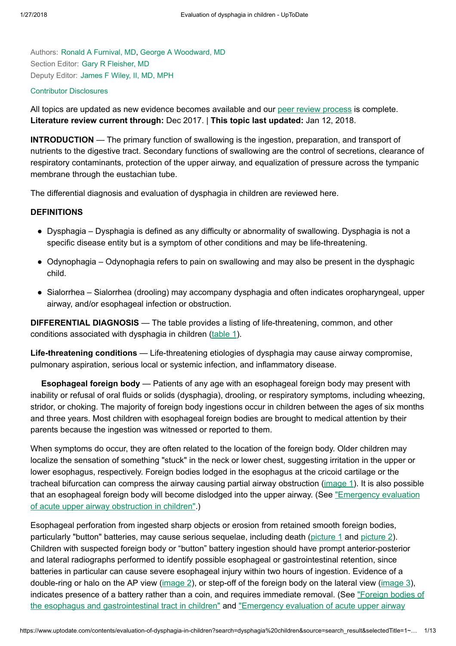Authors: Ronald A [Furnival,](https://www.uptodate.com/contents/evaluation-of-dysphagia-in-children/contributors) MD, George A [Woodward,](https://www.uptodate.com/contents/evaluation-of-dysphagia-in-children/contributors) MD Section Editor: Gary R [Fleisher,](https://www.uptodate.com/contents/evaluation-of-dysphagia-in-children/contributors) MD Deputy Editor: [James](https://www.uptodate.com/contents/evaluation-of-dysphagia-in-children/contributors) F Wiley, II, MD, MPH

#### Contributor [Disclosures](https://www.uptodate.com/contents/evaluation-of-dysphagia-in-children/contributor-disclosure)

All topics are updated as new evidence becomes available and our peer review [process](https://www.uptodate.com/home/editorial-policy) is complete. Literature review current through: Dec 2017. | This topic last updated: Jan 12, 2018.

INTRODUCTION — The primary function of swallowing is the ingestion, preparation, and transport of nutrients to the digestive tract. Secondary functions of swallowing are the control of secretions, clearance of respiratory contaminants, protection of the upper airway, and equalization of pressure across the tympanic membrane through the eustachian tube.

The differential diagnosis and evaluation of dysphagia in children are reviewed here.

#### **DEFINITIONS**

- Dysphagia Dysphagia is defined as any difficulty or abnormality of swallowing. Dysphagia is not a specific disease entity but is a symptom of other conditions and may be life-threatening.
- Odynophagia Odynophagia refers to pain on swallowing and may also be present in the dysphagic child.
- Sialorrhea Sialorrhea (drooling) may accompany dysphagia and often indicates oropharyngeal, upper airway, and/or esophageal infection or obstruction.

DIFFERENTIAL DIAGNOSIS — The table provides a listing of life-threatening, common, and other conditions associated with dysphagia in children ([table](https://www.uptodate.com/contents/image?imageKey=EM%2F73934&topicKey=EM%2F6445&search=dysphagia+children&rank=1%7E150&source=see_link) 1).

Life-threatening conditions — Life-threatening etiologies of dysphagia may cause airway compromise, pulmonary aspiration, serious local or systemic infection, and inflammatory disease.

Esophageal foreign body — Patients of any age with an esophageal foreign body may present with inability or refusal of oral fluids or solids (dysphagia), drooling, or respiratory symptoms, including wheezing, stridor, or choking. The majority of foreign body ingestions occur in children between the ages of six months and three years. Most children with esophageal foreign bodies are brought to medical attention by their parents because the ingestion was witnessed or reported to them.

When symptoms do occur, they are often related to the location of the foreign body. Older children may localize the sensation of something "stuck" in the neck or lower chest, suggesting irritation in the upper or lower esophagus, respectively. Foreign bodies lodged in the esophagus at the cricoid cartilage or the tracheal bifurcation can compress the airway causing partial airway obstruction ([image](https://www.uptodate.com/contents/image?imageKey=PEDS%2F76887&topicKey=EM%2F6445&search=dysphagia+children&rank=1%7E150&source=see_link) 1). It is also possible that an [esophageal foreign](https://www.uptodate.com/contents/emergency-evaluation-of-acute-upper-airway-obstruction-in-children?source=see_link) body will become dislodged into the upper airway. (See "Emergency evaluation of acute upper airway obstruction in children".)

Esophageal perforation from ingested sharp objects or erosion from retained smooth foreign bodies, particularly "button" batteries, may cause serious sequelae, including death ([picture](https://www.uptodate.com/contents/image?imageKey=EM%2F54791&topicKey=EM%2F6445&search=dysphagia+children&rank=1%7E150&source=see_link) 1 and picture 2). Children with suspected foreign body or "button" battery ingestion should have prompt anterior-posterior and lateral radiographs performed to identify possible esophageal or gastrointestinal retention, since batteries in particular can cause severe esophageal injury within two hours of ingestion. Evidence of a double-ring or halo on the AP view [\(image](https://www.uptodate.com/contents/image?imageKey=PEDS%2F77690&topicKey=EM%2F6445&search=dysphagia+children&rank=1%7E150&source=see_link) 2), or step-off of the foreign body on the lateral view (image 3), indicates presence of a battery rather than a coin, and requires immediate removal. (See "Foreign bodies of the esophagus and [gastrointestinal tract](https://www.uptodate.com/contents/foreign-bodies-of-the-esophagus-and-gastrointestinal-tract-in-children?source=see_link) in children" and "Emergency evaluation of acute upper airway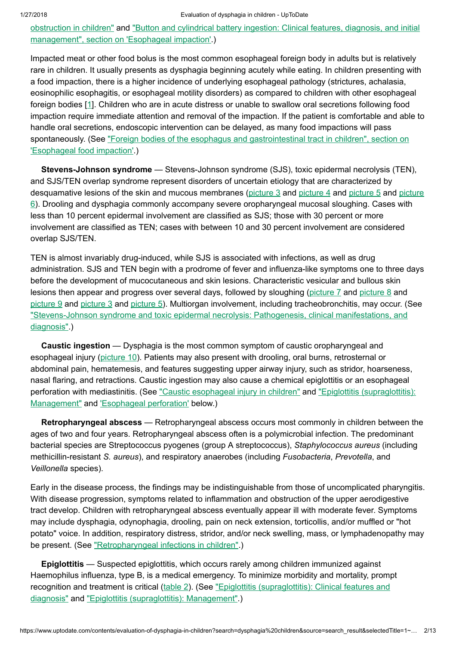#### 1/27/2018 Evaluation of dysphagia in children - UpToDate

obstruction in children" and "Button and [cylindrical battery](https://www.uptodate.com/contents/emergency-evaluation-of-acute-upper-airway-obstruction-in-children?source=see_link) ingestion: Clinical features, diagnosis, and initial management", section on ['Esophageal impaction'.\)](https://www.uptodate.com/contents/button-and-cylindrical-battery-ingestion-clinical-features-diagnosis-and-initial-management?sectionName=Esophageal+impaction&anchor=H17&source=see_link#H17)

Impacted meat or other food bolus is the most common esophageal foreign body in adults but is relatively rare in children. It usually presents as dysphagia beginning acutely while eating. In children presenting with a food impaction, there is a higher incidence of underlying esophageal pathology (strictures, achalasia, eosinophilic esophagitis, or esophageal motility disorders) as compared to children with other esophageal foreign bodies [[1\]](https://www.uptodate.com/contents/evaluation-of-dysphagia-in-children/abstract/1). Children who are in acute distress or unable to swallow oral secretions following food impaction require immediate attention and removal of the impaction. If the patient is comfortable and able to handle oral secretions, endoscopic intervention can be delayed, as many food impactions will pass spontaneously. (See "Foreign bodies of the esophagus and [gastrointestinal tract](https://www.uptodate.com/contents/foreign-bodies-of-the-esophagus-and-gastrointestinal-tract-in-children?sectionName=Esophageal+food+impaction&anchor=H19&source=see_link#H19) in children", section on 'Esophageal food impaction'.)

Stevens-Johnson syndrome — Stevens-Johnson syndrome (SJS), toxic epidermal necrolysis (TEN), and SJS/TEN overlap syndrome represent disorders of uncertain etiology that are characterized by desquamative lesions of the skin and mucous membranes ([picture](https://www.uptodate.com/contents/image?imageKey=EM%2F76141&topicKey=EM%2F6445&search=dysphagia+children&rank=1%7E150&source=see_link) 3 and picture 4 and picture 5 and picture 6). Drooling and dysphagia commonly accompany severe [oropharyngeal mucosal sloughing.](https://www.uptodate.com/contents/image?imageKey=ALLRG%2F66134&topicKey=EM%2F6445&search=dysphagia+children&rank=1%7E150&source=see_link) Cases with less than 10 percent epidermal involvement are classified as SJS; those with 30 percent or more involvement are classified as TEN; cases with between 10 and 30 percent involvement are considered overlap SJS/TEN.

TEN is almost invariably drug-induced, while SJS is associated with infections, as well as drug administration. SJS and TEN begin with a prodrome of fever and influenza-like symptoms one to three days before the development of mucocutaneous and skin lesions. Characteristic vesicular and bullous skin lesions then appear and progress over several days, followed by sloughing [\(picture](https://www.uptodate.com/contents/image?imageKey=DERM%2F82150&topicKey=EM%2F6445&search=dysphagia+children&rank=1%7E150&source=see_link) 7 and [picture](https://www.uptodate.com/contents/image?imageKey=DERM%2F68458&topicKey=EM%2F6445&search=dysphagia+children&rank=1%7E150&source=see_link) 8 and [picture](https://www.uptodate.com/contents/image?imageKey=DERM%2F59418&topicKey=EM%2F6445&search=dysphagia+children&rank=1%7E150&source=see_link) 9 and [picture](https://www.uptodate.com/contents/image?imageKey=EM%2F73805&topicKey=EM%2F6445&search=dysphagia+children&rank=1%7E150&source=see_link) 3 and [picture](https://www.uptodate.com/contents/image?imageKey=EM%2F76141&topicKey=EM%2F6445&search=dysphagia+children&rank=1%7E150&source=see_link) 5). Multiorgan involvement, including tracheobronchitis, may occur. (See "Stevens-Johnson syndrome and toxic epidermal necrolysis: Pathogenesis, [clinical manifestations,](https://www.uptodate.com/contents/stevens-johnson-syndrome-and-toxic-epidermal-necrolysis-pathogenesis-clinical-manifestations-and-diagnosis?source=see_link) and diagnosis".)

Caustic ingestion — Dysphagia is the most common symptom of caustic oropharyngeal and esophageal injury [\(picture](https://www.uptodate.com/contents/image?imageKey=EM%2F53496&topicKey=EM%2F6445&search=dysphagia+children&rank=1%7E150&source=see_link) 10). Patients may also present with drooling, oral burns, retrosternal or abdominal pain, hematemesis, and features suggesting upper airway injury, such as stridor, hoarseness, nasal flaring, and retractions. Caustic ingestion may also cause a chemical epiglottitis or an esophageal perforation with mediastinitis. (See "Caustic [esophageal injury](https://www.uptodate.com/contents/caustic-esophageal-injury-in-children?source=see_link) in children" and "Epiglottitis (supraglottitis): Management" and ['Esophageal perforation'](https://www.uptodate.com/contents/epiglottitis-supraglottitis-management?source=see_link) below.)

Retropharyngeal abscess — Retropharyngeal abscess occurs most commonly in children between the ages of two and four years. Retropharyngeal abscess often is a polymicrobial infection. The predominant bacterial species are Streptococcus pyogenes (group A streptococcus), Staphylococcus aureus (including methicillin-resistant S. aureus), and respiratory anaerobes (including Fusobacteria, Prevotella, and Veillonella species).

Early in the disease process, the findings may be indistinguishable from those of uncomplicated pharyngitis. With disease progression, symptoms related to inflammation and obstruction of the upper aerodigestive tract develop. Children with retropharyngeal abscess eventually appear ill with moderate fever. Symptoms may include dysphagia, odynophagia, drooling, pain on neck extension, torticollis, and/or muffled or "hot potato" voice. In addition, respiratory distress, stridor, and/or neck swelling, mass, or lymphadenopathy may be present. (See ["Retropharyngeal infections](https://www.uptodate.com/contents/retropharyngeal-infections-in-children?source=see_link) in children".)

Epiglottitis — Suspected epiglottitis, which occurs rarely among children immunized against Haemophilus influenza, type B, is a medical emergency. To minimize morbidity and mortality, prompt recognition and treatment is critical ([table](https://www.uptodate.com/contents/image?imageKey=PEDS%2F80169&topicKey=EM%2F6445&search=dysphagia+children&rank=1%7E150&source=see_link) 2). (See "Epiglottitis (supraglottitis): [Clinical features](https://www.uptodate.com/contents/epiglottitis-supraglottitis-clinical-features-and-diagnosis?source=see_link) and diagnosis" and "Epiglottitis [\(supraglottitis\):](https://www.uptodate.com/contents/epiglottitis-supraglottitis-management?source=see_link) Management".)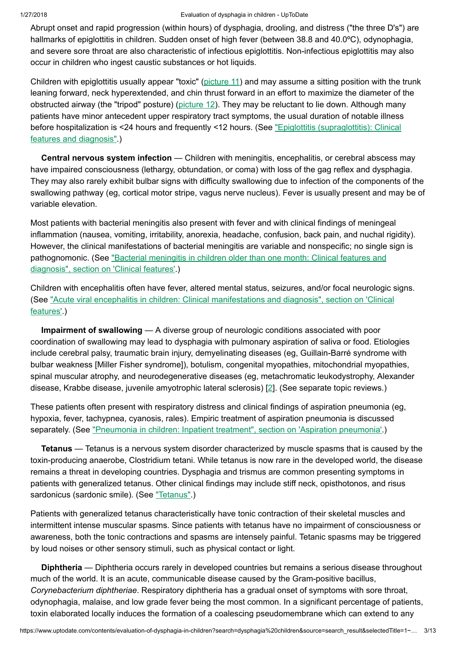Abrupt onset and rapid progression (within hours) of dysphagia, drooling, and distress ("the three D's") are hallmarks of epiglottitis in children. Sudden onset of high fever (between 38.8 and 40.0ºC), odynophagia, and severe sore throat are also characteristic of infectious epiglottitis. Non-infectious epiglottitis may also occur in children who ingest caustic substances or hot liquids.

Children with epiglottitis usually appear "toxic" [\(picture](https://www.uptodate.com/contents/image?imageKey=PEDS%2F76538&topicKey=EM%2F6445&search=dysphagia+children&rank=1%7E150&source=see_link) 11) and may assume a sitting position with the trunk leaning forward, neck hyperextended, and chin thrust forward in an effort to maximize the diameter of the obstructed airway (the "tripod" posture) [\(picture](https://www.uptodate.com/contents/image?imageKey=PEDS%2F79826&topicKey=EM%2F6445&search=dysphagia+children&rank=1%7E150&source=see_link) 12). They may be reluctant to lie down. Although many patients have minor antecedent upper respiratory tract symptoms, the usual duration of notable illness before hospitalization is <24 hours and frequently <12 hours. (See "Epiglottitis [\(supraglottitis\):](https://www.uptodate.com/contents/epiglottitis-supraglottitis-clinical-features-and-diagnosis?source=see_link) Clinical features and diagnosis".)

Central nervous system infection — Children with meningitis, encephalitis, or cerebral abscess may have impaired consciousness (lethargy, obtundation, or coma) with loss of the gag reflex and dysphagia. They may also rarely exhibit bulbar signs with difficulty swallowing due to infection of the components of the swallowing pathway (eg, cortical motor stripe, vagus nerve nucleus). Fever is usually present and may be of variable elevation.

Most patients with bacterial meningitis also present with fever and with clinical findings of meningeal inflammation (nausea, vomiting, irritability, anorexia, headache, confusion, back pain, and nuchal rigidity). However, the clinical manifestations of bacterial meningitis are variable and nonspecific; no single sign is pathognomonic. (See ["Bacterial meningitis](https://www.uptodate.com/contents/bacterial-meningitis-in-children-older-than-one-month-clinical-features-and-diagnosis?sectionName=CLINICAL+FEATURES&anchor=H5&source=see_link#H5) in children older than one month: Clinical features and diagnosis", section on 'Clinical features'.)

Children with encephalitis often have fever, altered mental status, seizures, and/or focal neurologic signs. (See "Acute viral encephalitis in children: [Clinical manifestations](https://www.uptodate.com/contents/acute-viral-encephalitis-in-children-clinical-manifestations-and-diagnosis?sectionName=CLINICAL+FEATURES&anchor=H2&source=see_link#H2) and diagnosis", section on 'Clinical features'.)

Impairment of swallowing — A diverse group of neurologic conditions associated with poor coordination of swallowing may lead to dysphagia with pulmonary aspiration of saliva or food. Etiologies include cerebral palsy, traumatic brain injury, demyelinating diseases (eg, Guillain-Barré syndrome with bulbar weakness [Miller Fisher syndrome]), botulism, congenital myopathies, mitochondrial myopathies, spinal muscular atrophy, and neurodegenerative diseases (eg, metachromatic leukodystrophy, Alexander disease, Krabbe disease, juvenile amyotrophic lateral sclerosis) [\[2](https://www.uptodate.com/contents/evaluation-of-dysphagia-in-children/abstract/2)]. (See separate topic reviews.)

These patients often present with respiratory distress and clinical findings of aspiration pneumonia (eg, hypoxia, fever, tachypnea, cyanosis, rales). Empiric treatment of aspiration pneumonia is discussed separately. (See ["Pneumonia](https://www.uptodate.com/contents/pneumonia-in-children-inpatient-treatment?sectionName=Aspiration+pneumonia&anchor=H23&source=see_link#H23) in children: Inpatient treatment", section on 'Aspiration pneumonia'.)

Tetanus — Tetanus is a nervous system disorder characterized by muscle spasms that is caused by the toxin-producing anaerobe, Clostridium tetani. While tetanus is now rare in the developed world, the disease remains a threat in developing countries. Dysphagia and trismus are common presenting symptoms in patients with generalized tetanus. Other clinical findings may include stiff neck, opisthotonos, and risus sardonicus (sardonic smile). (See ["Tetanus".](https://www.uptodate.com/contents/tetanus?source=see_link))

Patients with generalized tetanus characteristically have tonic contraction of their skeletal muscles and intermittent intense muscular spasms. Since patients with tetanus have no impairment of consciousness or awareness, both the tonic contractions and spasms are intensely painful. Tetanic spasms may be triggered by loud noises or other sensory stimuli, such as physical contact or light.

Diphtheria — Diphtheria occurs rarely in developed countries but remains a serious disease throughout much of the world. It is an acute, communicable disease caused by the Gram-positive bacillus, Corynebacterium diphtheriae. Respiratory diphtheria has a gradual onset of symptoms with sore throat, odynophagia, malaise, and low grade fever being the most common. In a significant percentage of patients, toxin elaborated locally induces the formation of a coalescing pseudomembrane which can extend to any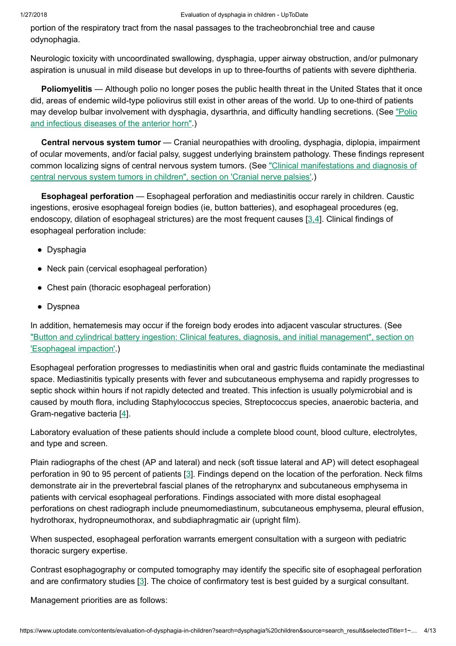portion of the respiratory tract from the nasal passages to the tracheobronchial tree and cause odynophagia.

Neurologic toxicity with uncoordinated swallowing, dysphagia, upper airway obstruction, and/or pulmonary aspiration is unusual in mild disease but develops in up to three-fourths of patients with severe diphtheria.

Poliomyelitis — Although polio no longer poses the public health threat in the United States that it once did, areas of endemic wild-type poliovirus still exist in other areas of the world. Up to one-third of patients may develop bulbar [involvement](https://www.uptodate.com/contents/polio-and-infectious-diseases-of-the-anterior-horn?source=see_link) with dysphagia, dysarthria, and difficulty handling secretions. (See "Polio and infectious diseases of the anterior horn".)

Central nervous system tumor — Cranial neuropathies with drooling, dysphagia, diplopia, impairment of ocular movements, and/or facial palsy, suggest underlying brainstem pathology. These findings represent common localizing signs of central nervous system tumors. (See ["Clinical manifestations](https://www.uptodate.com/contents/clinical-manifestations-and-diagnosis-of-central-nervous-system-tumors-in-children?sectionName=Cranial+nerve+palsies&anchor=H530843036&source=see_link#H530843036) and diagnosis of central nervous system tumors in children", section on 'Cranial nerve palsies'.)

Esophageal perforation — Esophageal perforation and mediastinitis occur rarely in children. Caustic ingestions, erosive esophageal foreign bodies (ie, button batteries), and esophageal procedures (eg, endoscopy, dilation of esophageal strictures) are the most frequent causes [[3,4\]](https://www.uptodate.com/contents/evaluation-of-dysphagia-in-children/abstract/3,4). Clinical findings of esophageal perforation include:

- Dysphagia
- Neck pain (cervical esophageal perforation)
- Chest pain (thoracic esophageal perforation)
- Dyspnea

In addition, hematemesis may occur if the foreign body erodes into adjacent vascular structures. (See "Button and cylindrical battery ingestion: Clinical features, diagnosis, and initial management", section on ['Esophageal impaction'.\)](https://www.uptodate.com/contents/button-and-cylindrical-battery-ingestion-clinical-features-diagnosis-and-initial-management?sectionName=Esophageal+impaction&anchor=H17&source=see_link#H17)

Esophageal perforation progresses to mediastinitis when oral and gastric fluids contaminate the mediastinal space. Mediastinitis typically presents with fever and subcutaneous emphysema and rapidly progresses to septic shock within hours if not rapidly detected and treated. This infection is usually polymicrobial and is caused by mouth flora, including Staphylococcus species, Streptococcus species, anaerobic bacteria, and Gram-negative bacteria [[4\]](https://www.uptodate.com/contents/evaluation-of-dysphagia-in-children/abstract/4).

Laboratory evaluation of these patients should include a complete blood count, blood culture, electrolytes, and type and screen.

Plain radiographs of the chest (AP and lateral) and neck (soft tissue lateral and AP) will detect esophageal perforation in 90 to 95 percent of patients [[3\]](https://www.uptodate.com/contents/evaluation-of-dysphagia-in-children/abstract/3). Findings depend on the location of the perforation. Neck films demonstrate air in the prevertebral fascial planes of the retropharynx and subcutaneous emphysema in patients with cervical esophageal perforations. Findings associated with more distal esophageal perforations on chest radiograph include pneumomediastinum, subcutaneous emphysema, pleural effusion, hydrothorax, hydropneumothorax, and subdiaphragmatic air (upright film).

When suspected, esophageal perforation warrants emergent consultation with a surgeon with pediatric thoracic surgery expertise.

Contrast esophagography or computed tomography may identify the specific site of esophageal perforation and are confirmatory studies [\[3](https://www.uptodate.com/contents/evaluation-of-dysphagia-in-children/abstract/3)]. The choice of confirmatory test is best guided by a surgical consultant.

Management priorities are as follows: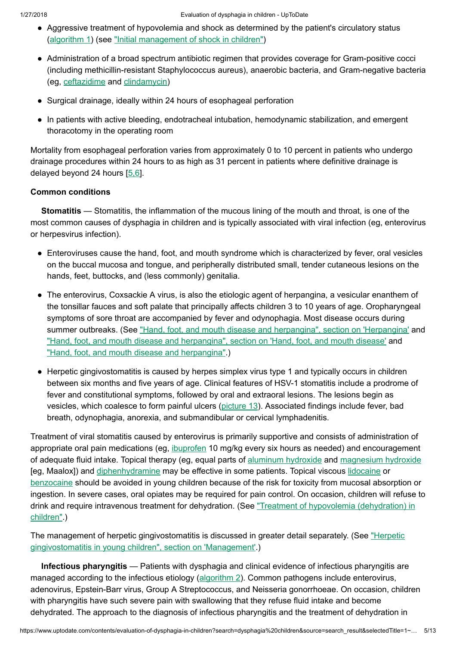- Aggressive treatment of hypovolemia and shock as determined by the patient's circulatory status [\(algorithm](https://www.uptodate.com/contents/image?imageKey=EM%2F77079&topicKey=EM%2F6445&search=dysphagia+children&rank=1%7E150&source=see_link) 1) (see ["Initial management](https://www.uptodate.com/contents/initial-management-of-shock-in-children?source=see_link) of shock in children")
- Administration of a broad spectrum antibiotic regimen that provides coverage for Gram-positive cocci (including methicillin-resistant Staphylococcus aureus), anaerobic bacteria, and Gram-negative bacteria (eg, [ceftazidime](https://www.uptodate.com/contents/ceftazidime-pediatric-drug-information?source=see_link) and [clindamycin](https://www.uptodate.com/contents/clindamycin-pediatric-drug-information?source=see_link))
- Surgical drainage, ideally within 24 hours of esophageal perforation
- In patients with active bleeding, endotracheal intubation, hemodynamic stabilization, and emergent thoracotomy in the operating room

Mortality from esophageal perforation varies from approximately 0 to 10 percent in patients who undergo drainage procedures within 24 hours to as high as 31 percent in patients where definitive drainage is delayed beyond 24 hours  $[5.6]$ .

# Common conditions

Stomatitis — Stomatitis, the inflammation of the mucous lining of the mouth and throat, is one of the most common causes of dysphagia in children and is typically associated with viral infection (eg, enterovirus or herpesvirus infection).

- Enteroviruses cause the hand, foot, and mouth syndrome which is characterized by fever, oral vesicles on the buccal mucosa and tongue, and peripherally distributed small, tender cutaneous lesions on the hands, feet, buttocks, and (less commonly) genitalia.
- The enterovirus, Coxsackie A virus, is also the etiologic agent of herpangina, a vesicular enanthem of the tonsillar fauces and soft palate that principally affects children 3 to 10 years of age. Oropharyngeal symptoms of sore throat are accompanied by fever and odynophagia. Most disease occurs during summer outbreaks. (See "Hand, foot, and mouth disease and [herpangina",](https://www.uptodate.com/contents/hand-foot-and-mouth-disease-and-herpangina?sectionName=Herpangina&anchor=H4639791&source=see_link#H4639791) section on 'Herpangina' and "Hand, foot, and mouth disease and [herpangina",](https://www.uptodate.com/contents/hand-foot-and-mouth-disease-and-herpangina?sectionName=Hand%2C+foot%2C+and+mouth+disease&anchor=H4639421&source=see_link#H4639421) section on 'Hand, foot, and mouth disease' and "Hand, foot, and mouth disease and [herpangina".](https://www.uptodate.com/contents/hand-foot-and-mouth-disease-and-herpangina?source=see_link))
- Herpetic gingivostomatitis is caused by herpes simplex virus type 1 and typically occurs in children between six months and five years of age. Clinical features of HSV-1 stomatitis include a prodrome of fever and constitutional symptoms, followed by oral and extraoral lesions. The lesions begin as vesicles, which coalesce to form painful ulcers [\(picture](https://www.uptodate.com/contents/image?imageKey=PEDS%2F58542&topicKey=EM%2F6445&search=dysphagia+children&rank=1%7E150&source=see_link) 13). Associated findings include fever, bad breath, odynophagia, anorexia, and submandibular or cervical lymphadenitis.

Treatment of viral stomatitis caused by enterovirus is primarily supportive and consists of administration of appropriate oral pain medications (eg, *[ibuprofen](https://www.uptodate.com/contents/ibuprofen-pediatric-drug-information?source=see_link)* 10 mg/kg every six hours as needed) and encouragement of adequate fluid intake. Topical therapy (eg, equal parts of aluminum [hydroxide](https://www.uptodate.com/contents/aluminum-hydroxide-pediatric-drug-information?source=see_link) and [magnesium](https://www.uptodate.com/contents/magnesium-hydroxide-pediatric-drug-information?source=see_link) hydroxide [eg, Maalox]) and [diphenhydramine](https://www.uptodate.com/contents/diphenhydramine-pediatric-drug-information?source=see_link) may be effective in some patients. Topical viscous [lidocaine](https://www.uptodate.com/contents/lidocaine-pediatric-drug-information?source=see_link) or [benzocaine](https://www.uptodate.com/contents/benzocaine-pediatric-drug-information?source=see_link) should be avoided in young children because of the risk for toxicity from mucosal absorption or ingestion. In severe cases, oral opiates may be required for pain control. On occasion, children will refuse to drink and require intravenous treatment for dehydration. (See "Treatment of hypovolemia [\(dehydration\)](https://www.uptodate.com/contents/treatment-of-hypovolemia-dehydration-in-children?source=see_link) in children".)

The management of herpetic gingivostomatitis is discussed in greater [detail separately.](https://www.uptodate.com/contents/herpetic-gingivostomatitis-in-young-children?sectionName=MANAGEMENT&anchor=H11&source=see_link#H11) (See "Herpetic gingivostomatitis in young children", section on 'Management'.)

Infectious pharyngitis — Patients with dysphagia and clinical evidence of infectious pharyngitis are managed according to the infectious etiology [\(algorithm](https://www.uptodate.com/contents/image?imageKey=PEDS%2F64820&topicKey=EM%2F6445&search=dysphagia+children&rank=1%7E150&source=see_link) 2). Common pathogens include enterovirus, adenovirus, Epstein-Barr virus, Group A Streptococcus, and Neisseria gonorrhoeae. On occasion, children with pharyngitis have such severe pain with swallowing that they refuse fluid intake and become dehydrated. The approach to the diagnosis of infectious pharyngitis and the treatment of dehydration in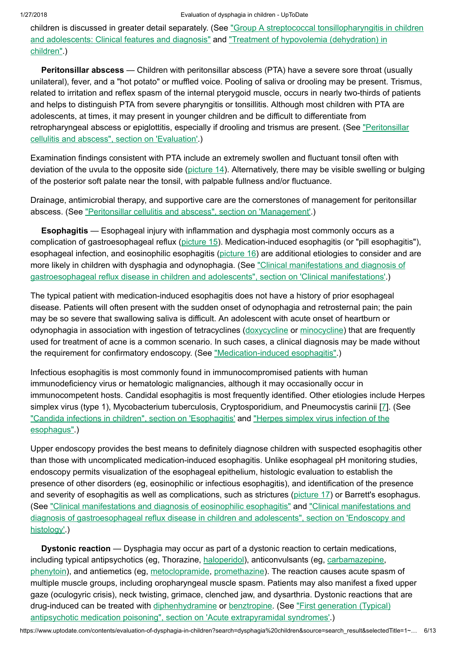children is discussed in greater detail separately. (See "Group A [streptococcal tonsillopharyngitis](https://www.uptodate.com/contents/group-a-streptococcal-tonsillopharyngitis-in-children-and-adolescents-clinical-features-and-diagnosis?source=see_link) in children and adolescents: [Clinical features](https://www.uptodate.com/contents/treatment-of-hypovolemia-dehydration-in-children?source=see_link) and diagnosis" and "Treatment of hypovolemia (dehydration) in children".)

Peritonsillar abscess — Children with peritonsillar abscess (PTA) have a severe sore throat (usually unilateral), fever, and a "hot potato" or muffled voice. Pooling of saliva or drooling may be present. Trismus, related to irritation and reflex spasm of the internal pterygoid muscle, occurs in nearly two-thirds of patients and helps to distinguish PTA from severe pharyngitis or tonsillitis. Although most children with PTA are adolescents, at times, it may present in younger children and be difficult to differentiate from [retropharyngeal abscess](https://www.uptodate.com/contents/peritonsillar-cellulitis-and-abscess?sectionName=EVALUATION&anchor=H6&source=see_link#H6) or epiglottitis, especially if drooling and trismus are present. (See "Peritonsillar cellulitis and abscess", section on 'Evaluation'.)

Examination findings consistent with PTA include an extremely swollen and fluctuant tonsil often with deviation of the uvula to the opposite side [\(picture](https://www.uptodate.com/contents/image?imageKey=ID%2F69943&topicKey=EM%2F6445&search=dysphagia+children&rank=1%7E150&source=see_link)  $14$ ). Alternatively, there may be visible swelling or bulging of the posterior soft palate near the tonsil, with palpable fullness and/or fluctuance.

Drainage, antimicrobial therapy, and supportive care are the cornerstones of management for peritonsillar abscess. (See "Peritonsillar cellulitis and abscess", section on ['Management'.](https://www.uptodate.com/contents/peritonsillar-cellulitis-and-abscess?sectionName=MANAGEMENT&anchor=H13&source=see_link#H13))

Esophagitis — Esophageal injury with inflammation and dysphagia most commonly occurs as a complication of gastroesophageal reflux ([picture](https://www.uptodate.com/contents/image?imageKey=EM%2F59503&topicKey=EM%2F6445&search=dysphagia+children&rank=1%7E150&source=see_link) 15). Medication-induced esophagitis (or "pill esophagitis"), esophageal infection, and eosinophilic esophagitis [\(picture](https://www.uptodate.com/contents/image?imageKey=EM%2F74737&topicKey=EM%2F6445&search=dysphagia+children&rank=1%7E150&source=see_link) 16) are additional etiologies to consider and are more likely in children with dysphagia and odynophagia. (See "Clinical manifestations and diagnosis of gastroesophageal reflux disease in children and adolescents", section on ['Clinical manifestations'.\)](https://www.uptodate.com/contents/clinical-manifestations-and-diagnosis-of-gastroesophageal-reflux-disease-in-children-and-adolescents?sectionName=CLINICAL+MANIFESTATIONS&anchor=H6&source=see_link#H6)

The typical patient with medication-induced esophagitis does not have a history of prior esophageal disease. Patients will often present with the sudden onset of odynophagia and retrosternal pain; the pain may be so severe that swallowing saliva is difficult. An adolescent with acute onset of heartburn or odynophagia in association with ingestion of tetracyclines [\(doxycycline](https://www.uptodate.com/contents/doxycycline-pediatric-drug-information?source=see_link) or [minocycline](https://www.uptodate.com/contents/minocycline-pediatric-drug-information?source=see_link)) that are frequently used for treatment of acne is a common scenario. In such cases, a clinical diagnosis may be made without the requirement for confirmatory endoscopy. (See ["Medication-induced](https://www.uptodate.com/contents/medication-induced-esophagitis?source=see_link) esophagitis".)

Infectious esophagitis is most commonly found in immunocompromised patients with human immunodeficiency virus or hematologic malignancies, although it may occasionally occur in immunocompetent hosts. Candidal esophagitis is most frequently identified. Other etiologies include Herpes simplex virus (type 1), Mycobacterium tuberculosis, Cryptosporidium, and Pneumocystis carinii [[7\]](https://www.uptodate.com/contents/evaluation-of-dysphagia-in-children/abstract/7). (See "Candida infections in children", section on ['Esophagitis'](https://www.uptodate.com/contents/candida-infections-in-children?sectionName=ESOPHAGITIS&anchor=H4&source=see_link#H4) and "Herpes simplex virus infection of the [esophagus".\)](https://www.uptodate.com/contents/herpes-simplex-virus-infection-of-the-esophagus?source=see_link)

Upper endoscopy provides the best means to definitely diagnose children with suspected esophagitis other than those with uncomplicated medication-induced esophagitis. Unlike esophageal pH monitoring studies, endoscopy permits visualization of the esophageal epithelium, histologic evaluation to establish the presence of other disorders (eg, eosinophilic or infectious esophagitis), and identification of the presence and severity of esophagitis as well as complications, such as strictures [\(picture](https://www.uptodate.com/contents/image?imageKey=EM%2F64024&topicKey=EM%2F6445&search=dysphagia+children&rank=1%7E150&source=see_link) 17) or Barrett's esophagus. (See ["Clinical manifestations](https://www.uptodate.com/contents/clinical-manifestations-and-diagnosis-of-eosinophilic-esophagitis?source=see_link) and diagnosis of eosinophilic esophagitis" and "Clinical manifestations and diagnosis of [gastroesophageal reflux](https://www.uptodate.com/contents/clinical-manifestations-and-diagnosis-of-gastroesophageal-reflux-disease-in-children-and-adolescents?sectionName=Endoscopy+and+histology&anchor=H9&source=see_link#H9) disease in children and adolescents", section on 'Endoscopy and histology'.)

Dystonic reaction — Dysphagia may occur as part of a dystonic reaction to certain medications, including typical antipsychotics (eg, Thorazine, [haloperidol\)](https://www.uptodate.com/contents/haloperidol-pediatric-drug-information?source=see_link), anticonvulsants (eg, [carbamazepine](https://www.uptodate.com/contents/carbamazepine-pediatric-drug-information?source=see_link), [phenytoin\)](https://www.uptodate.com/contents/phenytoin-pediatric-drug-information?source=see_link), and antiemetics (eg, [metoclopramide,](https://www.uptodate.com/contents/metoclopramide-pediatric-drug-information?source=see_link) [promethazine\)](https://www.uptodate.com/contents/promethazine-pediatric-drug-information?source=see_link). The reaction causes acute spasm of multiple muscle groups, including oropharyngeal muscle spasm. Patients may also manifest a fixed upper gaze (oculogyric crisis), neck twisting, grimace, clenched jaw, and dysarthria. Dystonic reactions that are drug-induced can be treated with [diphenhydramine](https://www.uptodate.com/contents/diphenhydramine-pediatric-drug-information?source=see_link) or [benztropine](https://www.uptodate.com/contents/benztropine-benzatropine-pediatric-drug-information?source=see_link). (See "First generation (Typical) antipsychotic medication poisoning", section on 'Acute [extrapyramidal syndromes'.\)](https://www.uptodate.com/contents/first-generation-typical-antipsychotic-medication-poisoning?sectionName=Acute+extrapyramidal+syndromes&anchor=H13&source=see_link#H13)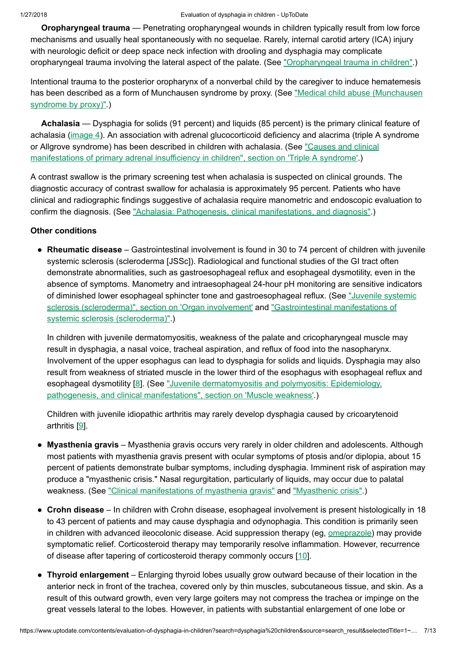Oropharyngeal trauma — Penetrating oropharyngeal wounds in children typically result from low force mechanisms and usually heal spontaneously with no sequelae. Rarely, internal carotid artery (ICA) injury with neurologic deficit or deep space neck infection with drooling and dysphagia may complicate oropharyngeal trauma involving the lateral aspect of the palate. (See ["Oropharyngeal trauma](https://www.uptodate.com/contents/oropharyngeal-trauma-in-children?source=see_link) in children".)

Intentional trauma to the posterior oropharynx of a nonverbal child by the caregiver to induce hematemesis has been described as a form of Munchausen syndrome by proxy. (See ["Medical child](https://www.uptodate.com/contents/medical-child-abuse-munchausen-syndrome-by-proxy?source=see_link) abuse (Munchausen syndrome by proxy)".)

Achalasia — Dysphagia for solids (91 percent) and liquids (85 percent) is the primary clinical feature of achalasia [\(image](https://www.uptodate.com/contents/image?imageKey=GAST%2F53672&topicKey=EM%2F6445&search=dysphagia+children&rank=1%7E150&source=see_link) 4). An association with adrenal glucocorticoid deficiency and alacrima (triple A syndrome or Allgrove syndrome) has been described in children with achalasia. (See "Causes and clinical manifestations of primary [adrenal insufficiency](https://www.uptodate.com/contents/causes-and-clinical-manifestations-of-primary-adrenal-insufficiency-in-children?sectionName=Triple+A+syndrome&anchor=H623801659&source=see_link#H623801659) in children", section on 'Triple A syndrome'.)

A contrast swallow is the primary screening test when achalasia is suspected on clinical grounds. The diagnostic accuracy of contrast swallow for achalasia is approximately 95 percent. Patients who have clinical and radiographic findings suggestive of achalasia require manometric and endoscopic evaluation to confirm the diagnosis. (See "Achalasia: Pathogenesis, [clinical manifestations,](https://www.uptodate.com/contents/achalasia-pathogenesis-clinical-manifestations-and-diagnosis?source=see_link) and diagnosis".)

### Other conditions

• Rheumatic disease – Gastrointestinal involvement is found in 30 to 74 percent of children with juvenile systemic sclerosis (scleroderma [JSSc]). Radiological and functional studies of the GI tract often demonstrate abnormalities, such as gastroesophageal reflux and esophageal dysmotility, even in the absence of symptoms. Manometry and intraesophageal 24-hour pH monitoring are sensitive indicators of diminished lower esophageal sphincter tone and gastroesophageal reflux. (See "Juvenile systemic sclerosis (scleroderma)", section on 'Organ involvement' and ["Gastrointestinal manifestations](https://www.uptodate.com/contents/gastrointestinal-manifestations-of-systemic-sclerosis-scleroderma?source=see_link) of systemic sclerosis (scleroderma)".)

In children with juvenile dermatomyositis, weakness of the palate and cricopharyngeal muscle may result in dysphagia, a nasal voice, tracheal aspiration, and reflux of food into the nasopharynx. Involvement of the upper esophagus can lead to dysphagia for solids and liquids. Dysphagia may also result from weakness of striated muscle in the lower third of the esophagus with esophageal reflux and esophageal dysmotility [[8\]](https://www.uptodate.com/contents/evaluation-of-dysphagia-in-children/abstract/8). (See "Juvenile dermatomyositis and polymyositis: Epidemiology, pathogenesis, and [clinical manifestations",](https://www.uptodate.com/contents/juvenile-dermatomyositis-and-polymyositis-epidemiology-pathogenesis-and-clinical-manifestations?sectionName=Muscle+weakness&anchor=H515392874&source=see_link#H515392874) section on 'Muscle weakness'.)

Children with juvenile idiopathic arthritis may rarely develop dysphagia caused by cricoarytenoid arthritis [[9\]](https://www.uptodate.com/contents/evaluation-of-dysphagia-in-children/abstract/9).

- Myasthenia gravis Myasthenia gravis occurs very rarely in older children and adolescents. Although most patients with myasthenia gravis present with ocular symptoms of ptosis and/or diplopia, about 15 percent of patients demonstrate bulbar symptoms, including dysphagia. Imminent risk of aspiration may produce a "myasthenic crisis." Nasal regurgitation, particularly of liquids, may occur due to palatal weakness. (See ["Clinical manifestations](https://www.uptodate.com/contents/clinical-manifestations-of-myasthenia-gravis?source=see_link) of myasthenia gravis" and ["Myasthenic](https://www.uptodate.com/contents/myasthenic-crisis?source=see_link) crisis".)
- Crohn disease In children with Crohn disease, esophageal involvement is present histologically in 18 to 43 percent of patients and may cause dysphagia and odynophagia. This condition is primarily seen in children with advanced ileocolonic disease. Acid suppression therapy (eg, [omeprazole\)](https://www.uptodate.com/contents/omeprazole-pediatric-drug-information?source=see_link) may provide symptomatic relief. Corticosteroid therapy may temporarily resolve inflammation. However, recurrence of disease after tapering of corticosteroid therapy commonly occurs [\[10](https://www.uptodate.com/contents/evaluation-of-dysphagia-in-children/abstract/10)].
- Thyroid enlargement Enlarging thyroid lobes usually grow outward because of their location in the anterior neck in front of the trachea, covered only by thin muscles, subcutaneous tissue, and skin. As a result of this outward growth, even very large goiters may not compress the trachea or impinge on the great vessels lateral to the lobes. However, in patients with substantial enlargement of one lobe or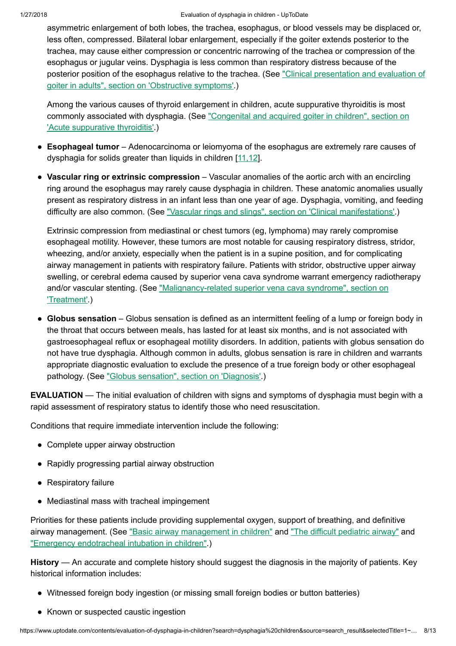asymmetric enlargement of both lobes, the trachea, esophagus, or blood vessels may be displaced or, less often, compressed. Bilateral lobar enlargement, especially if the goiter extends posterior to the trachea, may cause either compression or concentric narrowing of the trachea or compression of the esophagus or jugular veins. Dysphagia is less common than respiratory distress because of the posterior position of the esophagus relative to the trachea. (See ["Clinical presentation](https://www.uptodate.com/contents/clinical-presentation-and-evaluation-of-goiter-in-adults?sectionName=Obstructive+symptoms&anchor=H6514262&source=see_link#H6514262) and evaluation of goiter in adults", section on 'Obstructive symptoms'.)

Among the various causes of thyroid enlargement in children, acute suppurative thyroiditis is most commonly associated with dysphagia. (See ["Congenital and](https://www.uptodate.com/contents/congenital-and-acquired-goiter-in-children?sectionName=Acute+suppurative+thyroiditis&anchor=H17&source=see_link#H17) acquired goiter in children", section on 'Acute suppurative thyroiditis'.)

- Esophageal tumor Adenocarcinoma or leiomyoma of the esophagus are extremely rare causes of dysphagia for solids greater than liquids in children [\[11,12\]](https://www.uptodate.com/contents/evaluation-of-dysphagia-in-children/abstract/11,12).
- Vascular ring or extrinsic compression Vascular anomalies of the aortic arch with an encircling ring around the esophagus may rarely cause dysphagia in children. These anatomic anomalies usually present as respiratory distress in an infant less than one year of age. Dysphagia, vomiting, and feeding difficulty are also common. (See "Vascular rings and slings", section on ['Clinical manifestations'](https://www.uptodate.com/contents/vascular-rings-and-slings?sectionName=CLINICAL+MANIFESTATIONS&anchor=H11&source=see_link#H11).)

Extrinsic compression from mediastinal or chest tumors (eg, lymphoma) may rarely compromise esophageal motility. However, these tumors are most notable for causing respiratory distress, stridor, wheezing, and/or anxiety, especially when the patient is in a supine position, and for complicating airway management in patients with respiratory failure. Patients with stridor, obstructive upper airway swelling, or cerebral edema caused by superior vena cava syndrome warrant emergency radiotherapy and/or vascular stenting. (See ["Malignancy-related](https://www.uptodate.com/contents/malignancy-related-superior-vena-cava-syndrome?sectionName=TREATMENT&anchor=H18&source=see_link#H18) superior vena cava syndrome", section on 'Treatment'.)

• Globus sensation – Globus sensation is defined as an intermittent feeling of a lump or foreign body in the throat that occurs between meals, has lasted for at least six months, and is not associated with gastroesophageal reflux or esophageal motility disorders. In addition, patients with globus sensation do not have true dysphagia. Although common in adults, globus sensation is rare in children and warrants appropriate diagnostic evaluation to exclude the presence of a true foreign body or other esophageal pathology. (See "Globus [sensation",](https://www.uptodate.com/contents/globus-sensation?sectionName=DIAGNOSIS&anchor=H9&source=see_link#H9) section on 'Diagnosis'.)

EVALUATION — The initial evaluation of children with signs and symptoms of dysphagia must begin with a rapid assessment of respiratory status to identify those who need resuscitation.

Conditions that require immediate intervention include the following:

- Complete upper airway obstruction
- Rapidly progressing partial airway obstruction
- Respiratory failure
- Mediastinal mass with tracheal impingement

Priorities for these patients include providing supplemental oxygen, support of breathing, and definitive airway management. (See "Basic airway [management](https://www.uptodate.com/contents/basic-airway-management-in-children?source=see_link) in children" and "The difficult [pediatric](https://www.uptodate.com/contents/the-difficult-pediatric-airway?source=see_link) airway" and "Emergency [endotracheal intubation](https://www.uptodate.com/contents/emergency-endotracheal-intubation-in-children?source=see_link) in children".)

History — An accurate and complete history should suggest the diagnosis in the majority of patients. Key historical information includes:

- Witnessed foreign body ingestion (or missing small foreign bodies or button batteries)
- Known or suspected caustic ingestion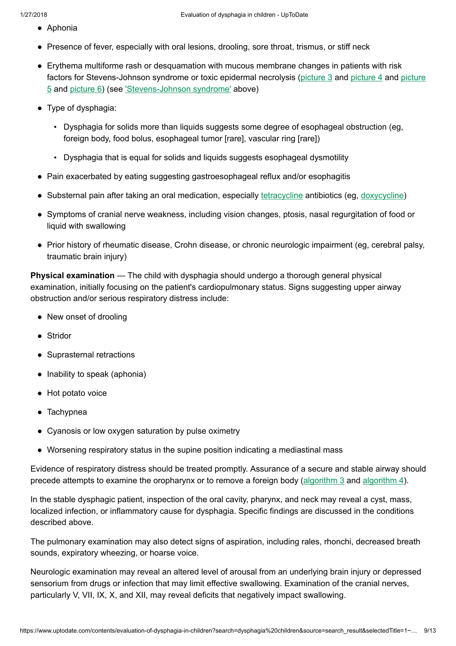- Aphonia
- Presence of fever, especially with oral lesions, drooling, sore throat, trismus, or stiff neck
- Erythema multiforme rash or desquamation with mucous membrane changes in patients with risk factors for Stevens-Johnson syndrome or toxic [epidermal necrolysis](https://www.uptodate.com/contents/image?imageKey=EM%2F76141&topicKey=EM%2F6445&search=dysphagia+children&rank=1%7E150&source=see_link) [\(picture](https://www.uptodate.com/contents/image?imageKey=EM%2F73805&topicKey=EM%2F6445&search=dysphagia+children&rank=1%7E150&source=see_link) 3 and [picture](https://www.uptodate.com/contents/image?imageKey=ALLRG%2F67632&topicKey=EM%2F6445&search=dysphagia+children&rank=1%7E150&source=see_link) 4 and picture 5 and [picture](https://www.uptodate.com/contents/image?imageKey=ALLRG%2F66134&topicKey=EM%2F6445&search=dysphagia+children&rank=1%7E150&source=see_link) 6) (see ['Stevens-Johnson](https://www.uptodate.com/contents/evaluation-of-dysphagia-in-children?search=dysphagia%20children&source=search_result&selectedTitle=1~150&usage_type=default&display_rank=1#H6) syndrome' above)
- Type of dysphagia:
	- Dysphagia for solids more than liquids suggests some degree of esophageal obstruction (eg, foreign body, food bolus, esophageal tumor [rare], vascular ring [rare])
	- Dysphagia that is equal for solids and liquids suggests esophageal dysmotility
- Pain exacerbated by eating suggesting gastroesophageal reflux and/or esophagitis
- Substernal pain after taking an oral medication, especially [tetracycline](https://www.uptodate.com/contents/tetracycline-pediatric-drug-information?source=see_link) antibiotics (eg, [doxycycline](https://www.uptodate.com/contents/doxycycline-pediatric-drug-information?source=see_link))
- Symptoms of cranial nerve weakness, including vision changes, ptosis, nasal regurgitation of food or liquid with swallowing
- Prior history of rheumatic disease, Crohn disease, or chronic neurologic impairment (eg, cerebral palsy, traumatic brain injury)

Physical examination — The child with dysphagia should undergo a thorough general physical examination, initially focusing on the patient's cardiopulmonary status. Signs suggesting upper airway obstruction and/or serious respiratory distress include:

- New onset of drooling
- Stridor
- Suprasternal retractions
- Inability to speak (aphonia)
- Hot potato voice
- Tachypnea
- Cyanosis or low oxygen saturation by pulse oximetry
- Worsening respiratory status in the supine position indicating a mediastinal mass

Evidence of respiratory distress should be treated promptly. Assurance of a secure and stable airway should precede attempts to examine the oropharynx or to remove a foreign body ([algorithm](https://www.uptodate.com/contents/image?imageKey=EM%2F55990&topicKey=EM%2F6445&search=dysphagia+children&rank=1%7E150&source=see_link) 3 and [algorithm](https://www.uptodate.com/contents/image?imageKey=EM%2F54996&topicKey=EM%2F6445&search=dysphagia+children&rank=1%7E150&source=see_link) 4).

In the stable dysphagic patient, inspection of the oral cavity, pharynx, and neck may reveal a cyst, mass, localized infection, or inflammatory cause for dysphagia. Specific findings are discussed in the conditions described above.

The pulmonary examination may also detect signs of aspiration, including rales, rhonchi, decreased breath sounds, expiratory wheezing, or hoarse voice.

Neurologic examination may reveal an altered level of arousal from an underlying brain injury or depressed sensorium from drugs or infection that may limit effective swallowing. Examination of the cranial nerves, particularly V, VII, IX, X, and XII, may reveal deficits that negatively impact swallowing.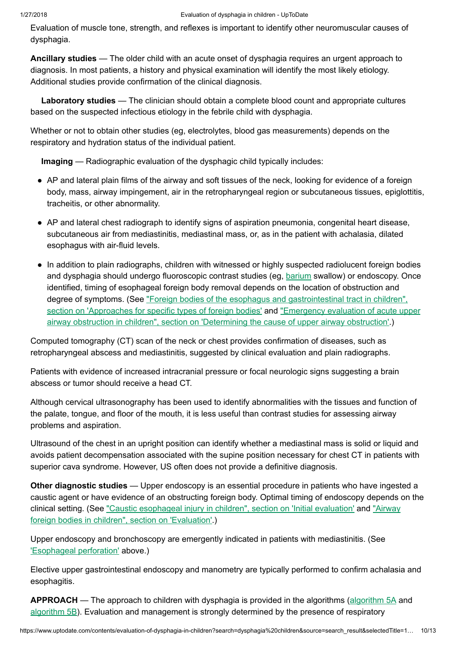Evaluation of muscle tone, strength, and reflexes is important to identify other neuromuscular causes of dysphagia.

Ancillary studies — The older child with an acute onset of dysphagia requires an urgent approach to diagnosis. In most patients, a history and physical examination will identify the most likely etiology. Additional studies provide confirmation of the clinical diagnosis.

Laboratory studies — The clinician should obtain a complete blood count and appropriate cultures based on the suspected infectious etiology in the febrile child with dysphagia.

Whether or not to obtain other studies (eg, electrolytes, blood gas measurements) depends on the respiratory and hydration status of the individual patient.

Imaging — Radiographic evaluation of the dysphagic child typically includes:

- AP and lateral plain films of the airway and soft tissues of the neck, looking for evidence of a foreign body, mass, airway impingement, air in the retropharyngeal region or subcutaneous tissues, epiglottitis, tracheitis, or other abnormality.
- AP and lateral chest radiograph to identify signs of aspiration pneumonia, congenital heart disease, subcutaneous air from mediastinitis, mediastinal mass, or, as in the patient with achalasia, dilated esophagus with air-fluid levels.
- In addition to plain radiographs, children with witnessed or highly suspected radiolucent foreign bodies and dysphagia should undergo fluoroscopic contrast studies (eg, [barium](https://www.uptodate.com/contents/barium-drug-information?source=see_link) swallow) or endoscopy. Once identified, timing of esophageal foreign body removal depends on the location of obstruction and degree of symptoms. (See "Foreign bodies of the esophagus and [gastrointestinal tract](https://www.uptodate.com/contents/foreign-bodies-of-the-esophagus-and-gastrointestinal-tract-in-children?sectionName=APPROACHES+FOR+SPECIFIC+TYPES+OF+FOREIGN+BODIES&anchor=H15&source=see_link#H15) in children", section on 'Approaches for specific types of foreign bodies' and "Emergency evaluation of acute upper airway obstruction in children", section on 'Determining the cause of upper airway [obstruction'.\)](https://www.uptodate.com/contents/emergency-evaluation-of-acute-upper-airway-obstruction-in-children?sectionName=Determining+the+cause+of+upper+airway+obstruction&anchor=H35&source=see_link#H35)

Computed tomography (CT) scan of the neck or chest provides confirmation of diseases, such as retropharyngeal abscess and mediastinitis, suggested by clinical evaluation and plain radiographs.

Patients with evidence of increased intracranial pressure or focal neurologic signs suggesting a brain abscess or tumor should receive a head CT.

Although cervical ultrasonography has been used to identify abnormalities with the tissues and function of the palate, tongue, and floor of the mouth, it is less useful than contrast studies for assessing airway problems and aspiration.

Ultrasound of the chest in an upright position can identify whether a mediastinal mass is solid or liquid and avoids patient decompensation associated with the supine position necessary for chest CT in patients with superior cava syndrome. However, US often does not provide a definitive diagnosis.

Other diagnostic studies — Upper endoscopy is an essential procedure in patients who have ingested a caustic agent or have evidence of an obstructing foreign body. Optimal timing of endoscopy depends on the clinical setting. (See "Caustic [esophageal injury](https://www.uptodate.com/contents/caustic-esophageal-injury-in-children?sectionName=INITIAL+EVALUATION&anchor=H8&source=see_link#H8) in children", section on 'Initial evaluation' and "Airway foreign bodies in children", section on 'Evaluation'.)

Upper endoscopy and bronchoscopy are emergently indicated in patients with mediastinitis. (See ['Esophageal perforation'](https://www.uptodate.com/contents/evaluation-of-dysphagia-in-children?search=dysphagia%20children&source=search_result&selectedTitle=1~150&usage_type=default&display_rank=1#H16) above.)

Elective upper gastrointestinal endoscopy and manometry are typically performed to confirm achalasia and esophagitis.

APPROACH — The approach to children with dysphagia is provided in the [algorithm](https://www.uptodate.com/contents/image?imageKey=EM%2F75648&topicKey=EM%2F6445&search=dysphagia+children&rank=1%7E150&source=see_link)s (algorithm 5A and [algorithm](https://www.uptodate.com/contents/image?imageKey=EM%2F63998&topicKey=EM%2F6445&search=dysphagia+children&rank=1%7E150&source=see_link) 5B). Evaluation and management is strongly determined by the presence of respiratory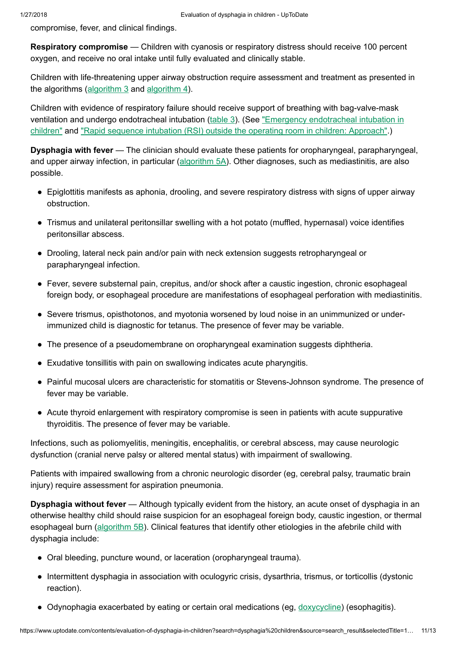compromise, fever, and clinical findings.

Respiratory compromise — Children with cyanosis or respiratory distress should receive 100 percent oxygen, and receive no oral intake until fully evaluated and clinically stable.

Children with life-threatening upper airway obstruction require assessment and treatment as presented in the algorithms ([algorithm](https://www.uptodate.com/contents/image?imageKey=EM%2F55990&topicKey=EM%2F6445&search=dysphagia+children&rank=1%7E150&source=see_link) 3 and [algorithm](https://www.uptodate.com/contents/image?imageKey=EM%2F54996&topicKey=EM%2F6445&search=dysphagia+children&rank=1%7E150&source=see_link) 4).

Children with evidence of respiratory failure should receive support of breathing with bag-valve-mask ventilation and undergo [endotracheal intubation](https://www.uptodate.com/contents/emergency-endotracheal-intubation-in-children?source=see_link) [\(table](https://www.uptodate.com/contents/image?imageKey=EM%2F51456&topicKey=EM%2F6445&search=dysphagia+children&rank=1%7E150&source=see_link) 3). (See "Emergency endotracheal intubation in children" and "Rapid sequence intubation (RSI) outside the operating room in children: [Approach"](https://www.uptodate.com/contents/rapid-sequence-intubation-rsi-outside-the-operating-room-in-children-approach?source=see_link).)

Dysphagia with fever — The clinician should evaluate these patients for oropharyngeal, parapharyngeal, and upper airway infection, in particular ([algorithm](https://www.uptodate.com/contents/image?imageKey=EM%2F75648&topicKey=EM%2F6445&search=dysphagia+children&rank=1%7E150&source=see_link) 5A). Other diagnoses, such as mediastinitis, are also possible.

- Epiglottitis manifests as aphonia, drooling, and severe respiratory distress with signs of upper airway obstruction.
- Trismus and unilateral peritonsillar swelling with a hot potato (muffled, hypernasal) voice identifies peritonsillar abscess.
- Drooling, lateral neck pain and/or pain with neck extension suggests retropharyngeal or parapharyngeal infection.
- Fever, severe substernal pain, crepitus, and/or shock after a caustic ingestion, chronic esophageal foreign body, or esophageal procedure are manifestations of esophageal perforation with mediastinitis.
- Severe trismus, opisthotonos, and myotonia worsened by loud noise in an unimmunized or underimmunized child is diagnostic for tetanus. The presence of fever may be variable.
- The presence of a pseudomembrane on oropharyngeal examination suggests diphtheria.
- Exudative tonsillitis with pain on swallowing indicates acute pharyngitis.
- Painful mucosal ulcers are characteristic for stomatitis or Stevens-Johnson syndrome. The presence of fever may be variable.
- Acute thyroid enlargement with respiratory compromise is seen in patients with acute suppurative thyroiditis. The presence of fever may be variable.

Infections, such as poliomyelitis, meningitis, encephalitis, or cerebral abscess, may cause neurologic dysfunction (cranial nerve palsy or altered mental status) with impairment of swallowing.

Patients with impaired swallowing from a chronic neurologic disorder (eg, cerebral palsy, traumatic brain injury) require assessment for aspiration pneumonia.

Dysphagia without fever — Although typically evident from the history, an acute onset of dysphagia in an otherwise healthy child should raise suspicion for an esophageal foreign body, caustic ingestion, or thermal esophageal burn ([algorithm](https://www.uptodate.com/contents/image?imageKey=EM%2F63998&topicKey=EM%2F6445&search=dysphagia+children&rank=1%7E150&source=see_link) 5B). Clinical features that identify other etiologies in the afebrile child with dysphagia include:

- Oral bleeding, puncture wound, or laceration (oropharyngeal trauma).
- Intermittent dysphagia in association with oculogyric crisis, dysarthria, trismus, or torticollis (dystonic reaction).
- Odynophagia exacerbated by eating or certain oral medications (eg, [doxycycline](https://www.uptodate.com/contents/doxycycline-pediatric-drug-information?source=see_link)) (esophagitis).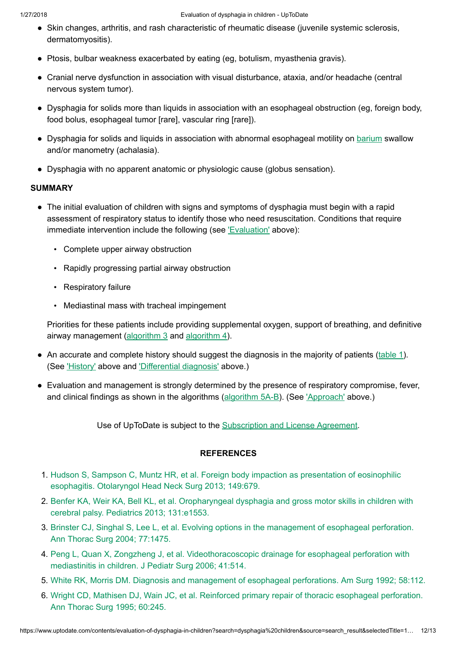- Skin changes, arthritis, and rash characteristic of rheumatic disease (juvenile systemic sclerosis, dermatomyositis).
- Ptosis, bulbar weakness exacerbated by eating (eg, botulism, myasthenia gravis).
- Cranial nerve dysfunction in association with visual disturbance, ataxia, and/or headache (central nervous system tumor).
- Dysphagia for solids more than liquids in association with an esophageal obstruction (eg, foreign body, food bolus, esophageal tumor [rare], vascular ring [rare]).
- Dysphagia for solids and liquids in association with abnormal esophageal motility on **[barium](https://www.uptodate.com/contents/barium-drug-information?source=see_link)** swallow and/or manometry (achalasia).
- Dysphagia with no apparent anatomic or physiologic cause (globus sensation).

# SUMMARY

- The initial evaluation of children with signs and symptoms of dysphagia must begin with a rapid assessment of respiratory status to identify those who need resuscitation. Conditions that require immediate intervention include the following (see ['Evaluation'](https://www.uptodate.com/contents/evaluation-of-dysphagia-in-children?search=dysphagia%20children&source=search_result&selectedTitle=1~150&usage_type=default&display_rank=1#H33) above):
	- Complete upper airway obstruction
	- Rapidly progressing partial airway obstruction
	- Respiratory failure
	- Mediastinal mass with tracheal impingement

Priorities for these patients include providing supplemental oxygen, support of breathing, and definitive airway management ([algorithm](https://www.uptodate.com/contents/image?imageKey=EM%2F54996&topicKey=EM%2F6445&search=dysphagia+children&rank=1%7E150&source=see_link) 3 and algorithm 4).

- An accurate and complete history should suggest the diagnosis in the majority of patients ([table](https://www.uptodate.com/contents/image?imageKey=EM%2F73934&topicKey=EM%2F6445&search=dysphagia+children&rank=1%7E150&source=see_link) 1). (See ['History'](https://www.uptodate.com/contents/evaluation-of-dysphagia-in-children?search=dysphagia%20children&source=search_result&selectedTitle=1~150&usage_type=default&display_rank=1#H34) above and ['Differential diagnosis'](https://www.uptodate.com/contents/evaluation-of-dysphagia-in-children?search=dysphagia%20children&source=search_result&selectedTitle=1~150&usage_type=default&display_rank=1#H3) above.)
- Evaluation and management is strongly determined by the presence of respiratory compromise, fever, ●and clinical findings as shown in the algorithms [\(algorithm](https://www.uptodate.com/contents/image?imageKey=EM%2F75648%7EEM%2F63998&topicKey=EM%2F6445&search=dysphagia+children&rank=1%7E150&source=see_link) 5A-B). (See ['Approach'](https://www.uptodate.com/contents/evaluation-of-dysphagia-in-children?search=dysphagia%20children&source=search_result&selectedTitle=1~150&usage_type=default&display_rank=1#H40) above.)

Use of UpToDate is subject to the [Subscription](https://www.uptodate.com/legal/license) and License Agreement.

### **REFERENCES**

- 1. Hudson S, Sampson C, Muntz HR, et al. Foreign body impaction as presentation of eosinophilic esophagitis. [Otolaryngol Head](https://www.uptodate.com/contents/evaluation-of-dysphagia-in-children/abstract/1) Neck Surg 2013; 149:679.
- 2. Benfer KA, Weir KA, Bell KL, et al. [Oropharyngeal dysphagia](https://www.uptodate.com/contents/evaluation-of-dysphagia-in-children/abstract/2) and gross motor skills in children with cerebral palsy. Pediatrics 2013; 131:e1553.
- 3. Brinster CJ, Singhal S, Lee L, et al. Evolving options in the management of [esophageal perforation.](https://www.uptodate.com/contents/evaluation-of-dysphagia-in-children/abstract/3) Ann Thorac Surg 2004; 77:1475.
- 4. Peng L, Quan X, Zongzheng J, et al. Videothoracoscopic drainage for [esophageal perforation](https://www.uptodate.com/contents/evaluation-of-dysphagia-in-children/abstract/4) with mediastinitis in children. J Pediatr Surg 2006; 41:514.
- 5. White RK, Morris DM. Diagnosis and management of [esophageal perforations.](https://www.uptodate.com/contents/evaluation-of-dysphagia-in-children/abstract/5) Am Surg 1992; 58:112.
- 6. Wright CD, Mathisen DJ, Wain JC, et al. Reinforced primary repair of thoracic [esophageal perforation.](https://www.uptodate.com/contents/evaluation-of-dysphagia-in-children/abstract/6) Ann Thorac Surg 1995; 60:245.